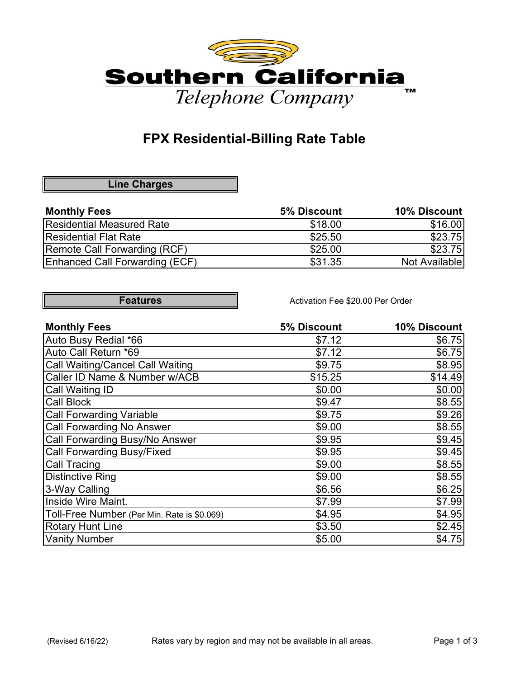

# **FPX Residential-Billing Rate Table**

#### **Line Charges**

| <b>Monthly Fees</b>            | 5% Discount | <b>10% Discount</b> |
|--------------------------------|-------------|---------------------|
| Residential Measured Rate      | \$18.00     | \$16.00             |
| Residential Flat Rate          | \$25.50     | \$23.75             |
| Remote Call Forwarding (RCF)   | \$25.00     | \$23.75             |
| Enhanced Call Forwarding (ECF) | \$31.35     | Not Available       |

| Features |  |
|----------|--|
|          |  |

Activation Fee \$20.00 Per Order

| <b>Monthly Fees</b>                         | 5% Discount | 10% Discount |
|---------------------------------------------|-------------|--------------|
| Auto Busy Redial *66                        | \$7.12      | \$6.75       |
| Auto Call Return *69                        | \$7.12      | \$6.75       |
| <b>Call Waiting/Cancel Call Waiting</b>     | \$9.75      | \$8.95       |
| Caller ID Name & Number w/ACB               | \$15.25     | \$14.49      |
| Call Waiting ID                             | \$0.00      | \$0.00       |
| <b>Call Block</b>                           | \$9.47      | \$8.55       |
| <b>Call Forwarding Variable</b>             | \$9.75      | \$9.26       |
| <b>Call Forwarding No Answer</b>            | \$9.00      | \$8.55       |
| Call Forwarding Busy/No Answer              | \$9.95      | \$9.45       |
| <b>Call Forwarding Busy/Fixed</b>           | \$9.95      | \$9.45       |
| Call Tracing                                | \$9.00      | \$8.55       |
| <b>Distinctive Ring</b>                     | \$9.00      | \$8.55       |
| 3-Way Calling                               | \$6.56      | \$6.25       |
| Inside Wire Maint.                          | \$7.99      | \$7.99       |
| Toll-Free Number (Per Min. Rate is \$0.069) | \$4.95      | \$4.95       |
| <b>Rotary Hunt Line</b>                     | \$3.50      | \$2.45       |
| <b>Vanity Number</b>                        | \$5.00      | \$4.75       |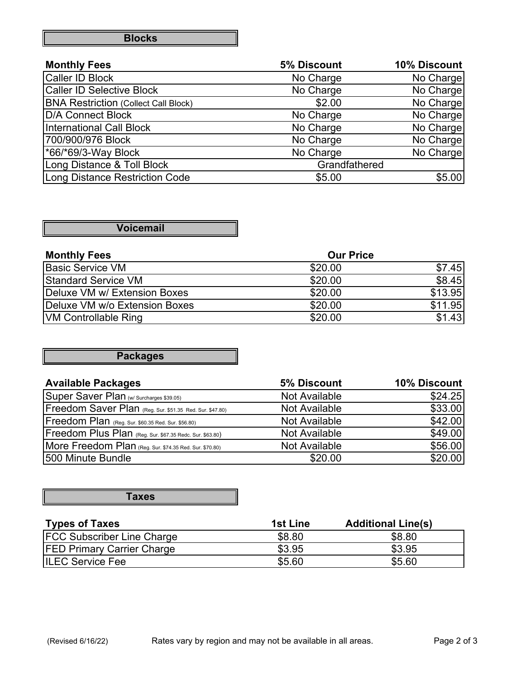|  | <b>Blocks</b> |  |
|--|---------------|--|
|--|---------------|--|

| <b>Monthly Fees</b>                         | 5% Discount   | 10% Discount |
|---------------------------------------------|---------------|--------------|
| <b>Caller ID Block</b>                      | No Charge     | No Charge    |
| <b>Caller ID Selective Block</b>            | No Charge     | No Charge    |
| <b>BNA Restriction (Collect Call Block)</b> | \$2.00        | No Charge    |
| D/A Connect Block                           | No Charge     | No Charge    |
| International Call Block                    | No Charge     | No Charge    |
| 700/900/976 Block                           | No Charge     | No Charge    |
| <sup>*66/*69/3-Way Block</sup>              | No Charge     | No Charge    |
| Long Distance & Toll Block                  | Grandfathered |              |
| Long Distance Restriction Code              | \$5.00        | \$5.00       |

#### **Voicemail**

| <b>Monthly Fees</b>           | <b>Our Price</b> |         |
|-------------------------------|------------------|---------|
| Basic Service VM              | \$20.00          | \$7.45  |
| <b>Standard Service VM</b>    | \$20.00          | \$8.45  |
| Deluxe VM w/ Extension Boxes  | \$20.00          | \$13.95 |
| Deluxe VM w/o Extension Boxes | \$20.00          | \$11.95 |
| <b>VM Controllable Ring</b>   | \$20.00          | \$1.43  |

### **Packages**

| <b>Available Packages</b>                                | 5% Discount   | 10% Discount |
|----------------------------------------------------------|---------------|--------------|
| Super Saver Plan (w/ Surcharges \$39.05)                 | Not Available | \$24.25      |
| Freedom Saver Plan (Reg. Sur. \$51.35 Red. Sur. \$47.80) | Not Available | \$33.00      |
| Freedom Plan (Reg. Sur. \$60.35 Red. Sur. \$56.80)       | Not Available | \$42.00      |
| Freedom Plus Plan (Reg. Sur. \$67.35 Redc. Sur. \$63.80) | Not Available | \$49.00      |
| More Freedom Plan (Reg. Sur. \$74.35 Red. Sur. \$70.80)  | Not Available | \$56.00      |
| 500 Minute Bundle                                        | \$20.00       | \$20.00      |

#### **Taxes**

| <b>Types of Taxes</b>             | 1st Line | <b>Additional Line(s)</b> |
|-----------------------------------|----------|---------------------------|
| <b>FCC Subscriber Line Charge</b> | \$8.80   | \$8.80                    |
| <b>FED Primary Carrier Charge</b> | \$3.95   | \$3.95                    |
| <b>ILEC Service Fee</b>           | \$5.60   | \$5.60                    |